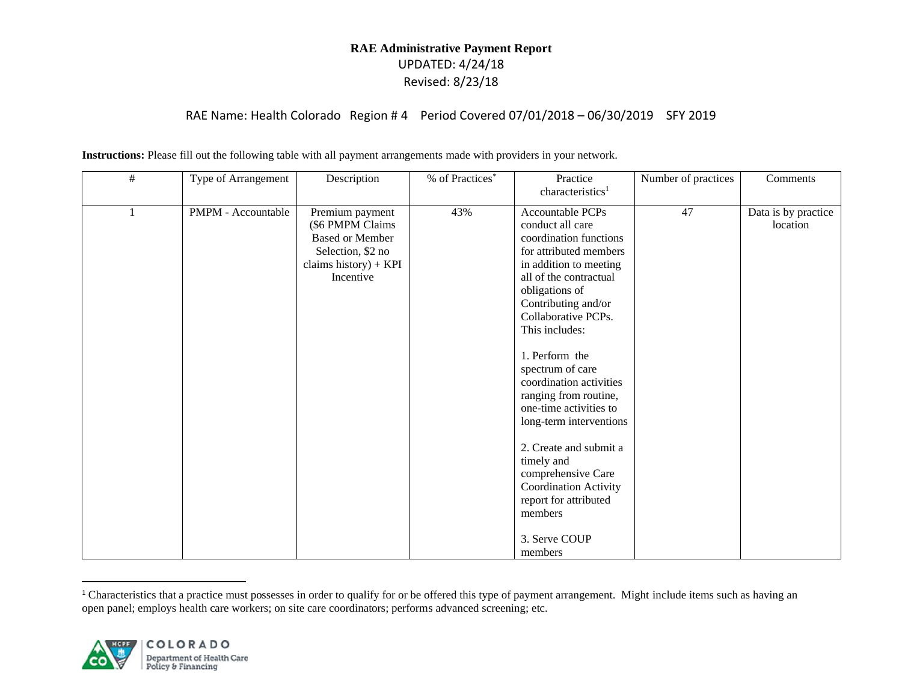|  |  |  |  |  | Instructions: Please fill out the following table with all payment arrangements made with providers in your network. |
|--|--|--|--|--|----------------------------------------------------------------------------------------------------------------------|

| $\#$ | Type of Arrangement | Description                                                                                                                | % of Practices* | Practice<br>characteristics <sup>1</sup>                                                                                                                                                                                                                                                                                                                                                                                                                                                                                                    | Number of practices | Comments                        |
|------|---------------------|----------------------------------------------------------------------------------------------------------------------------|-----------------|---------------------------------------------------------------------------------------------------------------------------------------------------------------------------------------------------------------------------------------------------------------------------------------------------------------------------------------------------------------------------------------------------------------------------------------------------------------------------------------------------------------------------------------------|---------------------|---------------------------------|
|      | PMPM - Accountable  | Premium payment<br>(\$6 PMPM Claims<br><b>Based or Member</b><br>Selection, \$2 no<br>claims history) + $KPI$<br>Incentive | 43%             | Accountable PCPs<br>conduct all care<br>coordination functions<br>for attributed members<br>in addition to meeting<br>all of the contractual<br>obligations of<br>Contributing and/or<br>Collaborative PCPs.<br>This includes:<br>1. Perform the<br>spectrum of care<br>coordination activities<br>ranging from routine,<br>one-time activities to<br>long-term interventions<br>2. Create and submit a<br>timely and<br>comprehensive Care<br><b>Coordination Activity</b><br>report for attributed<br>members<br>3. Serve COUP<br>members | 47                  | Data is by practice<br>location |

<sup>&</sup>lt;sup>1</sup> Characteristics that a practice must possesses in order to qualify for or be offered this type of payment arrangement. Might include items such as having an open panel; employs health care workers; on site care coordinators; performs advanced screening; etc.

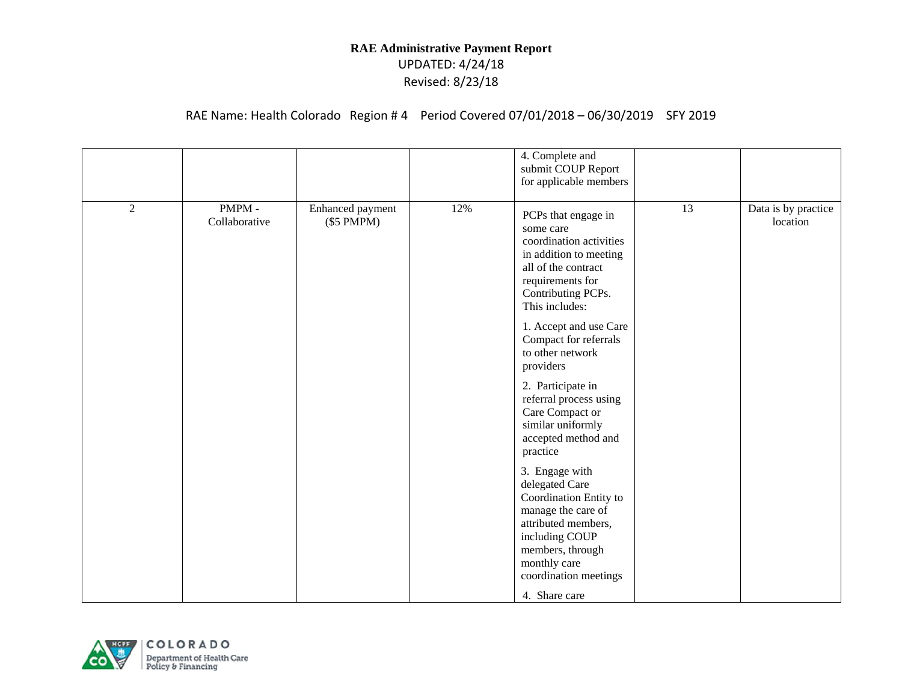|                |                        |                                     |     | 4. Complete and<br>submit COUP Report<br>for applicable members                                                                                                                                                                                              |    |                                 |
|----------------|------------------------|-------------------------------------|-----|--------------------------------------------------------------------------------------------------------------------------------------------------------------------------------------------------------------------------------------------------------------|----|---------------------------------|
| $\overline{2}$ | PMPM-<br>Collaborative | Enhanced payment<br>$(\$5$ PMPM $)$ | 12% | PCPs that engage in<br>some care<br>coordination activities<br>in addition to meeting<br>all of the contract<br>requirements for<br>Contributing PCPs.<br>This includes:<br>1. Accept and use Care<br>Compact for referrals<br>to other network<br>providers | 13 | Data is by practice<br>location |
|                |                        |                                     |     | 2. Participate in<br>referral process using<br>Care Compact or<br>similar uniformly<br>accepted method and<br>practice                                                                                                                                       |    |                                 |
|                |                        |                                     |     | 3. Engage with<br>delegated Care<br>Coordination Entity to<br>manage the care of<br>attributed members,<br>including COUP<br>members, through<br>monthly care<br>coordination meetings                                                                       |    |                                 |
|                |                        |                                     |     | 4. Share care                                                                                                                                                                                                                                                |    |                                 |

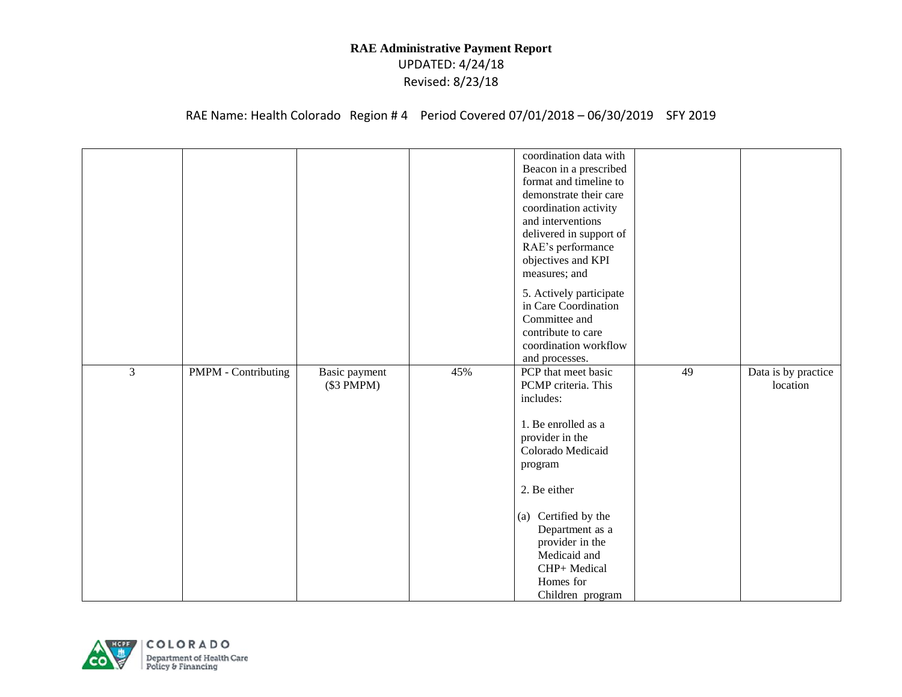|                |                            |                             |     | coordination data with<br>Beacon in a prescribed<br>format and timeline to<br>demonstrate their care<br>coordination activity<br>and interventions<br>delivered in support of<br>RAE's performance<br>objectives and KPI<br>measures; and<br>5. Actively participate<br>in Care Coordination<br>Committee and |    |                                 |
|----------------|----------------------------|-----------------------------|-----|---------------------------------------------------------------------------------------------------------------------------------------------------------------------------------------------------------------------------------------------------------------------------------------------------------------|----|---------------------------------|
|                |                            |                             |     | contribute to care<br>coordination workflow                                                                                                                                                                                                                                                                   |    |                                 |
| $\overline{3}$ | <b>PMPM</b> - Contributing |                             | 45% | and processes.<br>PCP that meet basic                                                                                                                                                                                                                                                                         | 49 |                                 |
|                |                            | Basic payment<br>(\$3 PMPM) |     | PCMP criteria. This<br>includes:                                                                                                                                                                                                                                                                              |    | Data is by practice<br>location |
|                |                            |                             |     | 1. Be enrolled as a                                                                                                                                                                                                                                                                                           |    |                                 |
|                |                            |                             |     | provider in the                                                                                                                                                                                                                                                                                               |    |                                 |
|                |                            |                             |     | Colorado Medicaid                                                                                                                                                                                                                                                                                             |    |                                 |
|                |                            |                             |     | program                                                                                                                                                                                                                                                                                                       |    |                                 |
|                |                            |                             |     | 2. Be either                                                                                                                                                                                                                                                                                                  |    |                                 |
|                |                            |                             |     | (a) Certified by the                                                                                                                                                                                                                                                                                          |    |                                 |
|                |                            |                             |     | Department as a                                                                                                                                                                                                                                                                                               |    |                                 |
|                |                            |                             |     | provider in the                                                                                                                                                                                                                                                                                               |    |                                 |
|                |                            |                             |     | Medicaid and                                                                                                                                                                                                                                                                                                  |    |                                 |
|                |                            |                             |     | CHP+ Medical<br>Homes for                                                                                                                                                                                                                                                                                     |    |                                 |
|                |                            |                             |     | Children program                                                                                                                                                                                                                                                                                              |    |                                 |

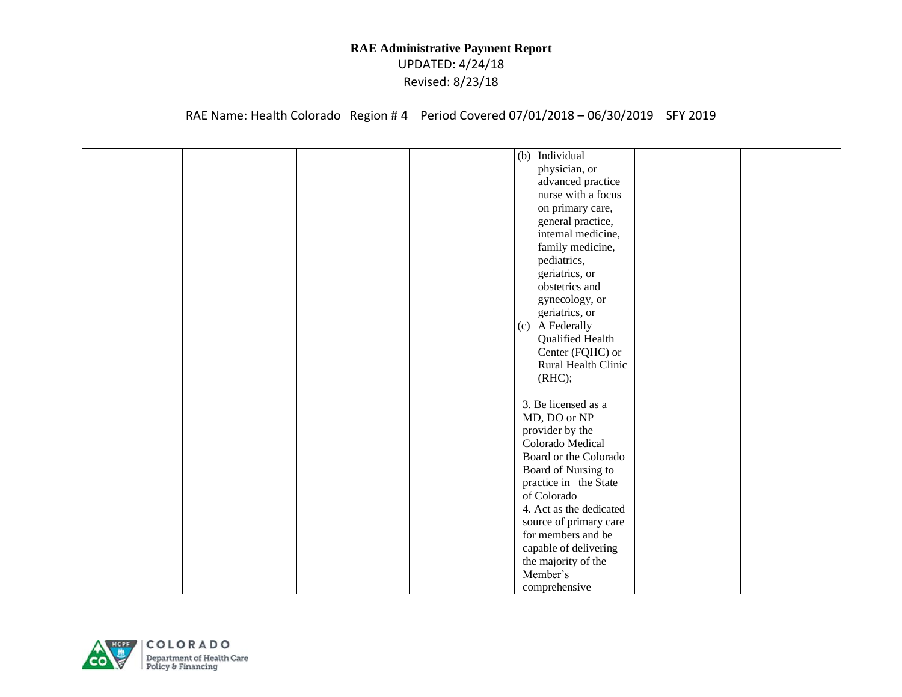| (b) Individual<br>physician, or<br>advanced practice<br>nurse with a focus<br>on primary care,<br>general practice,<br>internal medicine, |
|-------------------------------------------------------------------------------------------------------------------------------------------|
|                                                                                                                                           |
|                                                                                                                                           |
|                                                                                                                                           |
|                                                                                                                                           |
|                                                                                                                                           |
|                                                                                                                                           |
|                                                                                                                                           |
| family medicine,                                                                                                                          |
| pediatrics,                                                                                                                               |
| geriatrics, or                                                                                                                            |
| obstetrics and                                                                                                                            |
| gynecology, or                                                                                                                            |
| geriatrics, or                                                                                                                            |
| (c) A Federally                                                                                                                           |
| Qualified Health                                                                                                                          |
| Center (FQHC) or                                                                                                                          |
| Rural Health Clinic                                                                                                                       |
|                                                                                                                                           |
| (RHC);                                                                                                                                    |
| 3. Be licensed as a                                                                                                                       |
|                                                                                                                                           |
| MD, DO or NP                                                                                                                              |
| provider by the                                                                                                                           |
| Colorado Medical                                                                                                                          |
| Board or the Colorado                                                                                                                     |
| Board of Nursing to                                                                                                                       |
| practice in the State                                                                                                                     |
| of Colorado                                                                                                                               |
| 4. Act as the dedicated                                                                                                                   |
| source of primary care                                                                                                                    |
| for members and be                                                                                                                        |
|                                                                                                                                           |
|                                                                                                                                           |
|                                                                                                                                           |
| comprehensive                                                                                                                             |
| capable of delivering<br>the majority of the<br>Member's                                                                                  |